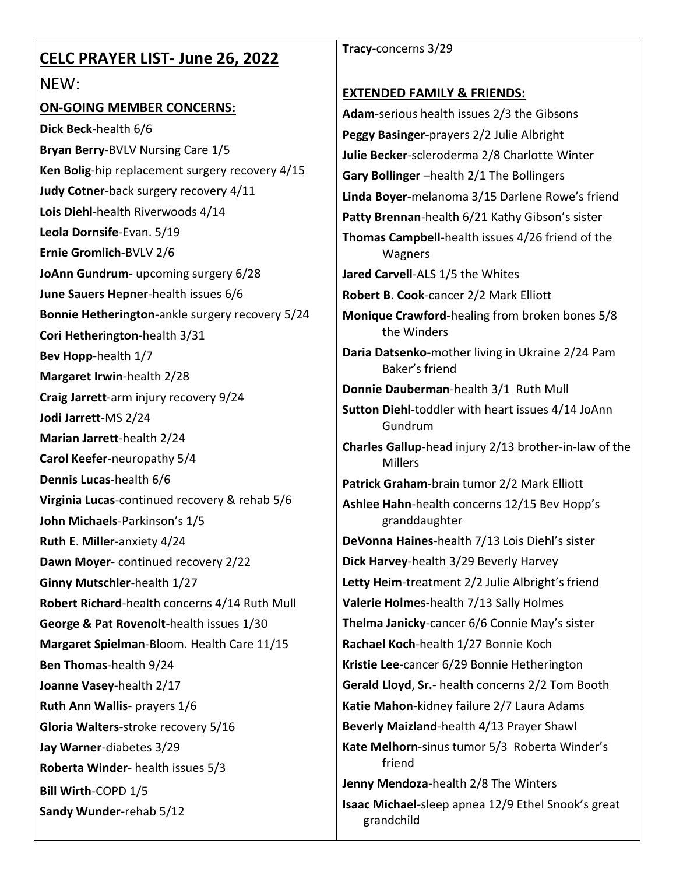| <b>CELC PRAYER LIST- June 26, 2022</b>                    | Tracy-concerns 3/29                                                                     |
|-----------------------------------------------------------|-----------------------------------------------------------------------------------------|
| NEW:                                                      |                                                                                         |
| <b>ON-GOING MEMBER CONCERNS:</b>                          | <b>EXTENDED FAMILY &amp; FRIENDS:</b>                                                   |
| Dick Beck-health 6/6                                      | Adam-serious health issues 2/3 the Gibsons<br>Peggy Basinger-prayers 2/2 Julie Albright |
| Bryan Berry-BVLV Nursing Care 1/5                         | Julie Becker-scleroderma 2/8 Charlotte Winter                                           |
| Ken Bolig-hip replacement surgery recovery 4/15           | Gary Bollinger -health 2/1 The Bollingers                                               |
| Judy Cotner-back surgery recovery 4/11                    | Linda Boyer-melanoma 3/15 Darlene Rowe's friend                                         |
| Lois Diehl-health Riverwoods 4/14                         | Patty Brennan-health 6/21 Kathy Gibson's sister                                         |
| Leola Dornsife-Evan. 5/19                                 | Thomas Campbell-health issues 4/26 friend of the                                        |
| Ernie Gromlich-BVLV 2/6                                   | Wagners                                                                                 |
| JoAnn Gundrum- upcoming surgery 6/28                      | Jared Carvell-ALS 1/5 the Whites                                                        |
| June Sauers Hepner-health issues 6/6                      | Robert B. Cook-cancer 2/2 Mark Elliott                                                  |
| Bonnie Hetherington-ankle surgery recovery 5/24           | Monique Crawford-healing from broken bones 5/8<br>the Winders                           |
| Cori Hetherington-health 3/31                             |                                                                                         |
| Bev Hopp-health 1/7                                       | Daria Datsenko-mother living in Ukraine 2/24 Pam<br>Baker's friend                      |
| Margaret Irwin-health 2/28                                | Donnie Dauberman-health 3/1 Ruth Mull                                                   |
| Craig Jarrett-arm injury recovery 9/24                    | Sutton Diehl-toddler with heart issues 4/14 JoAnn                                       |
| Jodi Jarrett-MS 2/24                                      | Gundrum                                                                                 |
| Marian Jarrett-health 2/24<br>Carol Keefer-neuropathy 5/4 | Charles Gallup-head injury 2/13 brother-in-law of the                                   |
| Dennis Lucas-health 6/6                                   | <b>Millers</b>                                                                          |
| Virginia Lucas-continued recovery & rehab 5/6             | Patrick Graham-brain tumor 2/2 Mark Elliott                                             |
| John Michaels-Parkinson's 1/5                             | Ashlee Hahn-health concerns 12/15 Bev Hopp's<br>granddaughter                           |
| Ruth E. Miller-anxiety 4/24                               | DeVonna Haines-health 7/13 Lois Diehl's sister                                          |
| Dawn Moyer-continued recovery 2/22                        | Dick Harvey-health 3/29 Beverly Harvey                                                  |
| Ginny Mutschler-health 1/27                               | Letty Heim-treatment 2/2 Julie Albright's friend                                        |
| Robert Richard-health concerns 4/14 Ruth Mull             | Valerie Holmes-health 7/13 Sally Holmes                                                 |
| George & Pat Rovenolt-health issues 1/30                  | Thelma Janicky-cancer 6/6 Connie May's sister                                           |
| Margaret Spielman-Bloom. Health Care 11/15                | Rachael Koch-health 1/27 Bonnie Koch                                                    |
| Ben Thomas-health 9/24                                    | Kristie Lee-cancer 6/29 Bonnie Hetherington                                             |
| Joanne Vasey-health 2/17                                  | Gerald Lloyd, Sr.- health concerns 2/2 Tom Booth                                        |
| Ruth Ann Wallis- prayers 1/6                              | Katie Mahon-kidney failure 2/7 Laura Adams                                              |
| Gloria Walters-stroke recovery 5/16                       | Beverly Maizland-health 4/13 Prayer Shawl                                               |
| Jay Warner-diabetes 3/29                                  | Kate Melhorn-sinus tumor 5/3 Roberta Winder's                                           |
| Roberta Winder- health issues 5/3                         | friend                                                                                  |
| Bill Wirth-COPD 1/5                                       | Jenny Mendoza-health 2/8 The Winters                                                    |
| Sandy Wunder-rehab 5/12                                   | Isaac Michael-sleep apnea 12/9 Ethel Snook's great<br>grandchild                        |